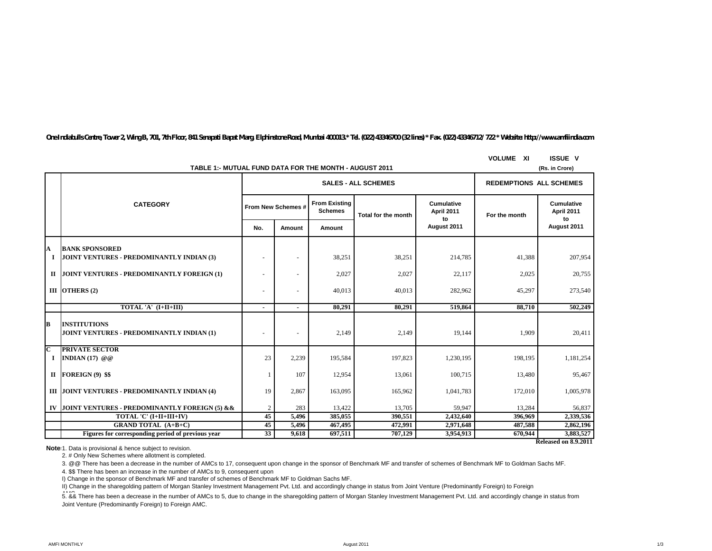*One Indiabulls Centre, Tower 2, Wing B, 701, 7th Floor, 841 Senapati Bapat Marg, Elphinstone Road, Mumbai 400013.\* Tel. (022) 43346700 (32 lines) \* Fax. (022) 43346712/ 722 \* Website: http://www.amfiindia.com*

|                  | TABLE 1:- MUTUAL FUND DATA FOR THE MONTH - AUGUST 2011             | <b>VOLUME XI</b>   | <b>ISSUE V</b><br>(Rs. in Crore) |                                        |                            |                                 |               |                          |
|------------------|--------------------------------------------------------------------|--------------------|----------------------------------|----------------------------------------|----------------------------|---------------------------------|---------------|--------------------------|
|                  |                                                                    |                    |                                  | <b>SALES - ALL SCHEMES</b>             |                            | <b>REDEMPTIONS ALL SCHEMES</b>  |               |                          |
|                  | <b>CATEGORY</b>                                                    | From New Schemes # |                                  | <b>From Existing</b><br><b>Schemes</b> | <b>Total for the month</b> | <b>Cumulative</b><br>April 2011 | For the month | Cumulative<br>April 2011 |
|                  |                                                                    | No.                | Amount                           | Amount                                 |                            | to<br>August 2011               |               | to<br>August 2011        |
| A<br>$\mathbf I$ | <b>BANK SPONSORED</b><br>JOINT VENTURES - PREDOMINANTLY INDIAN (3) |                    | $\sim$                           | 38,251                                 | 38,251                     | 214,785                         | 41,388        | 207,954                  |
| П                | JOINT VENTURES - PREDOMINANTLY FOREIGN (1)                         |                    |                                  | 2,027                                  | 2,027                      | 22,117                          | 2,025         | 20,755                   |
|                  | III OTHERS $(2)$                                                   |                    | $\sim$                           | 40,013                                 | 40,013                     | 282,962                         | 45,297        | 273,540                  |
|                  | TOTAL 'A' (I+II+III)                                               |                    | $\sim$                           | 80.291                                 | 80,291                     | 519,864                         | 88.710        | 502,249                  |
| B                | <b>INSTITUTIONS</b><br>JOINT VENTURES - PREDOMINANTLY INDIAN (1)   |                    |                                  | 2,149                                  | 2,149                      | 19,144                          | 1,909         | 20,411                   |
| C<br><b>I</b>    | <b>PRIVATE SECTOR</b><br>INDIAN $(17)$ @ @                         | 23                 | 2,239                            | 195,584                                | 197,823                    | 1,230,195                       | 198,195       | 1,181,254                |
| П                | FOREIGN (9) \$\$                                                   |                    | 107                              | 12,954                                 | 13,061                     | 100,715                         | 13,480        | 95,467                   |
|                  | III JOINT VENTURES - PREDOMINANTLY INDIAN (4)                      | 19                 | 2,867                            | 163,095                                | 165,962                    | 1,041,783                       | 172,010       | 1,005,978                |
| IV               | JOINT VENTURES - PREDOMINANTLY FOREIGN (5) & &                     | $\overline{2}$     | 283                              | 13,422                                 | 13,705                     | 59,947                          | 13,284        | 56,837                   |
|                  | TOTAL 'C' (I+II+III+IV)                                            | $\overline{45}$    | 5,496                            | 385,055                                | 390.551                    | 2,432,640                       | 396.969       | 2,339,536                |
|                  | <b>GRAND TOTAL (A+B+C)</b>                                         | 45                 | 5,496                            | 467,495                                | 472.991                    | 2,971,648                       | 487,588       | 2,862,196                |
|                  | Figures for corresponding period of previous year                  | 33                 | 9.618                            | 697,511                                | 707,129                    | 3,954,913                       | 670,944       | 3,883,527                |

**Released on 8.9.2011**

**Note**: 1. Data is provisional & hence subject to revision.

2. # Only New Schemes where allotment is completed.

3. @@ There has been a decrease in the number of AMCs to 17, consequent upon change in the sponsor of Benchmark MF and transfer of schemes of Benchmark MF to Goldman Sachs MF.

4. \$\$ There has been an increase in the number of AMCs to 9, consequent upon

I) Change in the sponsor of Benchmark MF and transfer of schemes of Benchmark MF to Goldman Sachs MF.

II) Change in the sharegolding pattern of Morgan Stanley Investment Management Pvt. Ltd. and accordingly change in status from Joint Venture (Predominantly Foreign) to Foreign

.<br>5. && There has been a decrease in the number of AMCs to 5, due to change in the sharegolding pattern of Morgan Stanley Investment Management Pvt. Ltd. and accordingly change in status from Joint Venture (Predominantly Foreign) to Foreign AMC.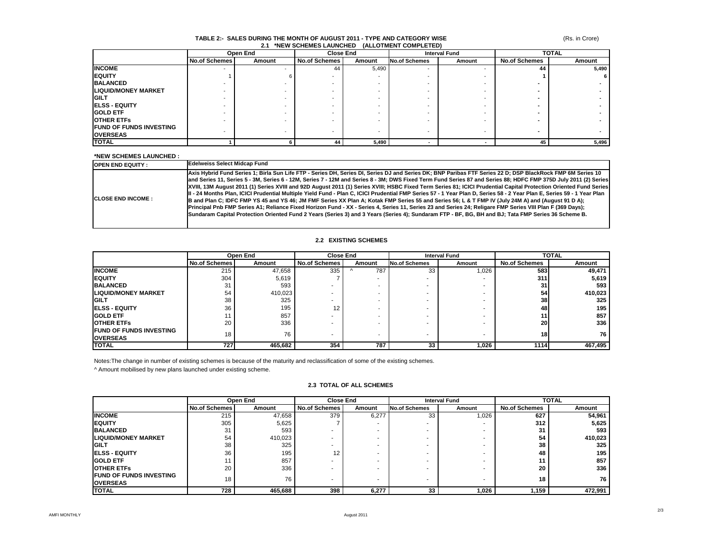#### **TABLE 2:- SALES DURING THE MONTH OF AUGUST 2011 - TYPE AND CATEGORY WISE 2.1 \*NEW SCHEMES LAUNCHED (ALLOTMENT COMPLETED)**

|                                | Open End             |        | <b>Close End</b>     |        |                      | <b>TOTAL</b><br><b>Interval Fund</b> |                      |        |
|--------------------------------|----------------------|--------|----------------------|--------|----------------------|--------------------------------------|----------------------|--------|
|                                | <b>No.of Schemes</b> | Amount | <b>No.of Schemes</b> | Amount | <b>No.of Schemes</b> | Amount                               | <b>No.of Schemes</b> | Amount |
| <b>INCOME</b>                  |                      |        | 44                   | 5,490  |                      | $\overline{\phantom{0}}$             | 44                   | 5,490  |
| <b>IEQUITY</b>                 |                      |        |                      |        |                      |                                      |                      |        |
| <b>BALANCED</b>                |                      |        |                      |        |                      |                                      |                      |        |
| <b>LIQUID/MONEY MARKET</b>     |                      |        |                      |        |                      |                                      |                      |        |
| GILT                           |                      |        |                      |        |                      |                                      |                      |        |
| <b>ELSS - EQUITY</b>           |                      |        |                      |        |                      |                                      |                      |        |
| <b>GOLD ETF</b>                |                      |        |                      |        |                      |                                      |                      |        |
| <b>OTHER ETFS</b>              |                      |        |                      |        |                      |                                      |                      |        |
| <b>FUND OF FUNDS INVESTING</b> |                      |        |                      |        |                      |                                      |                      |        |
| <b>OVERSEAS</b>                |                      |        |                      |        |                      | $\overline{\phantom{a}}$             |                      |        |
| <b>TOTAL</b>                   |                      |        | 44                   | 5,490  |                      |                                      | 45                   | 5,496  |

#### **\*NEW SCHEMES LAUNCHED :**

| <b>OPEN END EQUITY:</b>    | <b>Edelweiss Select Midcap Fund</b>                                                                                                                                                                                                                                                                                                                                                                                                                                                                                                                                                                                                                                                                                                                                                                                                                                                                                                                                                                                                                                                                                                                     |
|----------------------------|---------------------------------------------------------------------------------------------------------------------------------------------------------------------------------------------------------------------------------------------------------------------------------------------------------------------------------------------------------------------------------------------------------------------------------------------------------------------------------------------------------------------------------------------------------------------------------------------------------------------------------------------------------------------------------------------------------------------------------------------------------------------------------------------------------------------------------------------------------------------------------------------------------------------------------------------------------------------------------------------------------------------------------------------------------------------------------------------------------------------------------------------------------|
| <b>ICLOSE END INCOME :</b> | Axis Hybrid Fund Series 1: Birla Sun Life FTP - Series DH. Series DI. Series DJ and Series DK: BNP Paribas FTF Series 22 D: DSP BlackRock FMP 6M Series 10<br>and Series 11, Series 5 - 3M, Series 6 - 12M, Series 7 - 12M and Series 8 - 3M; DWS Fixed Term Fund Series 87 and Series 88; HDFC FMP 375D July 2011 (2) Series<br>XVIII, 13M August 2011 (1) Series XVIII and 92D August 2011 (1) Series XVIII; HSBC Fixed Term Series 81; ICICI Prudential Capital Protection Oriented Fund Series<br>III - 24 Months Plan, ICICI Prudential Multiple Yield Fund - Plan C, ICICI Prudential FMP Series 57 - 1 Year Plan D, Series 58 - 2 Year Plan E, Series 59 - 1 Year Plan<br>B and Plan C; IDFC FMP YS 45 and YS 46; JM FMF Series XX Plan A; Kotak FMP Series 55 and Series 56; L & T FMP IV (July 24M A) and (August 91 D A);<br>Principal Pnb FMP Series A1; Reliance Fixed Horizon Fund - XX - Series 4, Series 11, Series 23 and Series 24; Religare FMP Series VIII Plan F (369 Days);<br>Sundaram Capital Protection Oriented Fund 2 Years (Series 3) and 3 Years (Series 4); Sundaram FTP - BF, BG, BH and BJ; Tata FMP Series 36 Scheme B. |

#### **2.2 EXISTING SCHEMES**

|                                | Open End             |         | <b>Close End</b>     |                          |                      | <b>TOTAL</b><br><b>Interval Fund</b> |                      |         |
|--------------------------------|----------------------|---------|----------------------|--------------------------|----------------------|--------------------------------------|----------------------|---------|
|                                | <b>No.of Schemes</b> | Amount  | <b>No.of Schemes</b> | Amount                   | <b>No.of Schemes</b> | Amount                               | <b>No.of Schemes</b> | Amount  |
| <b>INCOME</b>                  | 215                  | 47,658  | 335                  | 787                      | 33                   | 1,026                                | 583                  | 49,471  |
| <b>IEQUITY</b>                 | 304                  | 5,619   |                      |                          |                      |                                      | 311                  | 5,619   |
| <b>BALANCED</b>                | 31                   | 593     |                      | $\overline{\phantom{0}}$ |                      |                                      | 31                   | 593     |
| <b>LIQUID/MONEY MARKET</b>     | 54                   | 410,023 |                      | $\overline{\phantom{0}}$ |                      |                                      | 54                   | 410,023 |
| <b>GILT</b>                    | 38                   | 325     |                      | $\overline{\phantom{0}}$ |                      |                                      | 38                   | 325     |
| <b>IELSS - EQUITY</b>          | 36                   | 195     | 12                   |                          |                      |                                      | 48                   | 195     |
| <b>GOLD ETF</b>                |                      | 857     |                      | $\overline{\phantom{0}}$ |                      |                                      |                      | 857     |
| <b>IOTHER ETFS</b>             | 20                   | 336     |                      |                          |                      |                                      | 20                   | 336     |
| <b>FUND OF FUNDS INVESTING</b> | 18 <sup>1</sup>      | 76      |                      | $\overline{\phantom{a}}$ |                      |                                      | 18                   | 76      |
| <b>OVERSEAS</b>                |                      |         |                      |                          |                      |                                      |                      |         |
| <b>TOTAL</b>                   | 7271                 | 465,682 | 354                  | 787                      | 33                   | 1,026                                | 1114                 | 467,495 |

Notes:The change in number of existing schemes is because of the maturity and reclassification of some of the existing schemes.

^ Amount mobilised by new plans launched under existing scheme.

# **2.3 TOTAL OF ALL SCHEMES**

|                                                   | Open End             |         | <b>Close End</b>     |        | <b>Interval Fund</b> |        | <b>TOTAL</b>         |         |
|---------------------------------------------------|----------------------|---------|----------------------|--------|----------------------|--------|----------------------|---------|
|                                                   | <b>No.of Schemes</b> | Amount  | <b>No.of Schemes</b> | Amount | <b>No.of Schemes</b> | Amount | <b>No.of Schemes</b> | Amount  |
| <b>INCOME</b>                                     | 215                  | 47,658  | 379                  | 6,277  | 33                   | 1,026  | 627                  | 54,961  |
| <b>IEQUITY</b>                                    | 305                  | 5,625   |                      |        |                      |        | 312                  | 5,625   |
| <b>BALANCED</b>                                   | 31                   | 593     |                      |        |                      |        | 31                   | 593     |
| <b>LIQUID/MONEY MARKET</b>                        | 54                   | 410,023 |                      |        |                      |        | 54                   | 410,023 |
| <b>IGILT</b>                                      | 38                   | 325     |                      |        |                      |        | 38                   | 325     |
| <b>IELSS - EQUITY</b>                             | 36                   | 195     | 12                   |        |                      |        | 48                   | 195     |
| <b>GOLD ETF</b>                                   |                      | 857     |                      |        |                      |        |                      | 857     |
| <b>OTHER ETFS</b>                                 | 20                   | 336     |                      |        |                      |        | 20                   | 336     |
| <b>FUND OF FUNDS INVESTING</b><br><b>OVERSEAS</b> | 18                   | 76      |                      |        |                      |        | 18                   | 76      |
| <b>TOTAL</b>                                      | 728                  | 465,688 | 398                  | 6,277  | 33                   | 1.026  | 1.159                | 472,991 |